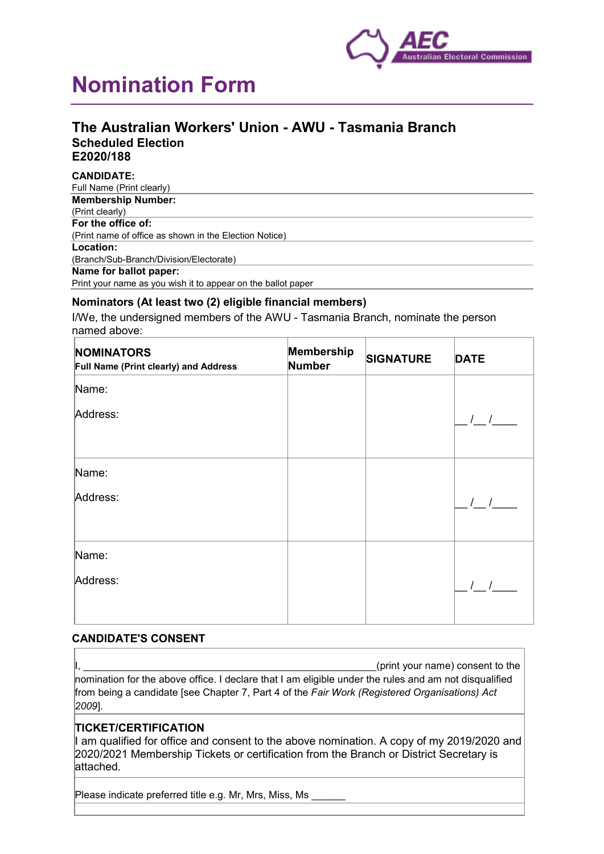

# **Nomination Form**

# **The Australian Workers' Union - AWU - Tasmania Branch Scheduled Election E2020/188**

#### **CANDIDATE:**

| Full Name (Print clearly)                                    |
|--------------------------------------------------------------|
| <b>Membership Number:</b>                                    |
| (Print clearly)                                              |
| For the office of:                                           |
| (Print name of office as shown in the Election Notice)       |
| Location:                                                    |
| (Branch/Sub-Branch/Division/Electorate)                      |
| Name for ballot paper:                                       |
| Print your name as you wish it to appear on the ballot paper |

#### **Nominators (At least two (2) eligible financial members)**

I/We, the undersigned members of the AWU - Tasmania Branch, nominate the person named above:

| <b>NOMINATORS</b><br>Full Name (Print clearly) and Address | Membership<br><b>Number</b> | <b>SIGNATURE</b> | <b>DATE</b>                                    |
|------------------------------------------------------------|-----------------------------|------------------|------------------------------------------------|
| Name:                                                      |                             |                  |                                                |
| Address:                                                   |                             |                  | $\left  \begin{array}{cc} \end{array} \right $ |
| Name:                                                      |                             |                  |                                                |
| Address:                                                   |                             |                  |                                                |
| Name:                                                      |                             |                  |                                                |
| Address:                                                   |                             |                  | $\left  \right $                               |

#### **CANDIDATE'S CONSENT**

(print your name) consent to the nomination for the above office. I declare that I am eligible under the rules and am not disqualified from being a candidate [see Chapter 7, Part 4 of the *Fair Work (Registered Organisations) Act 2009*].

## **TICKET/CERTIFICATION**

I am qualified for office and consent to the above nomination. A copy of my 2019/2020 and 2020/2021 Membership Tickets or certification from the Branch or District Secretary is attached.

Please indicate preferred title e.g. Mr, Mrs, Miss, Ms